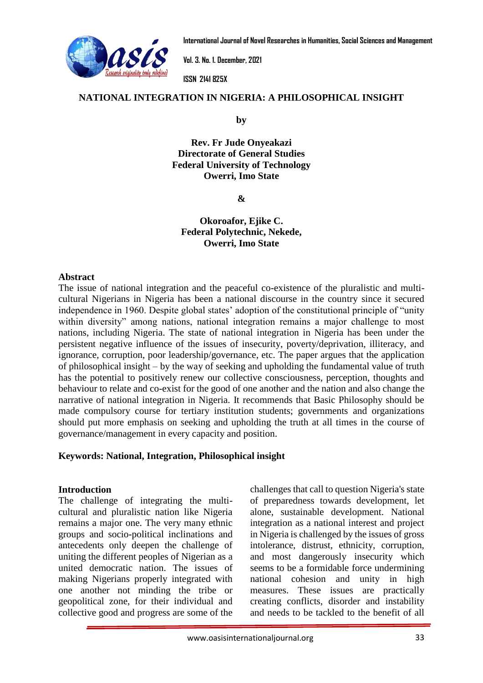

**International Journal of Novel Researches in Humanities, Social Sciences and Management**

**Vol. 3. No. 1. December, 2021**

**ISSN 2141 825X**

#### **NATIONAL INTEGRA[TION IN NIGERIA:](http://www.oasisinternationaljournal.org/) A PHILOSOPHICAL INSIGHT www.oasisinternationaljournal.org**

**by**

**Rev. Fr Jude Onyeakazi Directorate of General Studies Federal University of Technology Owerri, Imo State**

**&**

### **Okoroafor, Ejike C. Federal Polytechnic, Nekede, Owerri, Imo State**

#### **Abstract**

The issue of national integration and the peaceful co-existence of the pluralistic and multicultural Nigerians in Nigeria has been a national discourse in the country since it secured independence in 1960. Despite global states' adoption of the constitutional principle of "unity within diversity" among nations, national integration remains a major challenge to most nations, including Nigeria. The state of national integration in Nigeria has been under the persistent negative influence of the issues of insecurity, poverty/deprivation, illiteracy, and ignorance, corruption, poor leadership/governance, etc. The paper argues that the application of philosophical insight – by the way of seeking and upholding the fundamental value of truth has the potential to positively renew our collective consciousness, perception, thoughts and behaviour to relate and co-exist for the good of one another and the nation and also change the narrative of national integration in Nigeria. It recommends that Basic Philosophy should be made compulsory course for tertiary institution students; governments and organizations should put more emphasis on seeking and upholding the truth at all times in the course of governance/management in every capacity and position.

### **Keywords: National, Integration, Philosophical insight**

### **Introduction**

The challenge of integrating the multicultural and pluralistic nation like Nigeria remains a major one. The very many ethnic groups and socio-political inclinations and antecedents only deepen the challenge of uniting the different peoples of Nigerian as a united democratic nation. The issues of making Nigerians properly integrated with one another not minding the tribe or geopolitical zone, for their individual and collective good and progress are some of the

challenges that call to question Nigeria's state of preparedness towards development, let alone, sustainable development. National integration as a national interest and project in Nigeria is challenged by the issues of gross intolerance, distrust, ethnicity, corruption, and most dangerously insecurity which seems to be a formidable force undermining national cohesion and unity in high measures. These issues are practically creating conflicts, disorder and instability and needs to be tackled to the benefit of all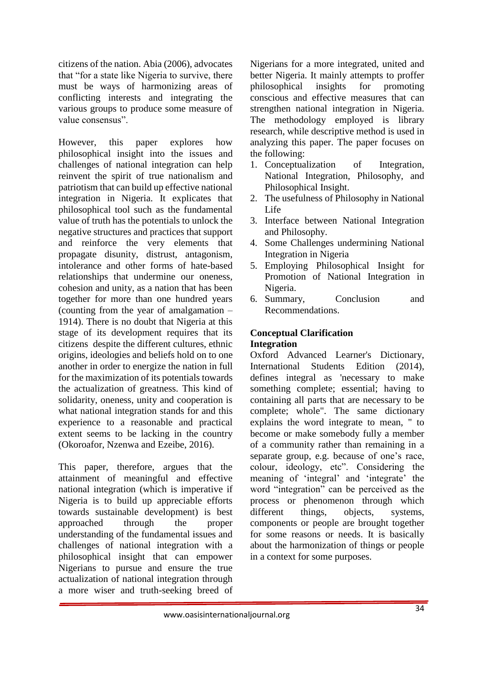citizens of the nation. Abia (2006), advocates that "for a state like Nigeria to survive, there must be ways of harmonizing areas of conflicting interests and integrating the various groups to produce some measure of value consensus".

However, this paper explores how philosophical insight into the issues and challenges of national integration can help reinvent the spirit of true nationalism and patriotism that can build up effective national integration in Nigeria. It explicates that philosophical tool such as the fundamental value of truth has the potentials to unlock the negative structures and practices that support and reinforce the very elements that propagate disunity, distrust, antagonism, intolerance and other forms of hate-based relationships that undermine our oneness, cohesion and unity, as a nation that has been together for more than one hundred years (counting from the year of amalgamation – 1914). There is no doubt that Nigeria at this stage of its development requires that its citizens despite the different cultures, ethnic origins, ideologies and beliefs hold on to one another in order to energize the nation in full for the maximization of its potentials towards the actualization of greatness. This kind of solidarity, oneness, unity and cooperation is what national integration stands for and this experience to a reasonable and practical extent seems to be lacking in the country (Okoroafor, Nzenwa and Ezeibe, 2016).

This paper, therefore, argues that the attainment of meaningful and effective national integration (which is imperative if Nigeria is to build up appreciable efforts towards sustainable development) is best approached through the proper understanding of the fundamental issues and challenges of national integration with a philosophical insight that can empower Nigerians to pursue and ensure the true actualization of national integration through a more wiser and truth-seeking breed of

Nigerians for a more integrated, united and better Nigeria. It mainly attempts to proffer philosophical insights for promoting conscious and effective measures that can strengthen national integration in Nigeria. The methodology employed is library research, while descriptive method is used in analyzing this paper. The paper focuses on the following:

- 1. Conceptualization of Integration, National Integration, Philosophy, and Philosophical Insight.
- 2. The usefulness of Philosophy in National Life
- 3. Interface between National Integration and Philosophy.
- 4. Some Challenges undermining National Integration in Nigeria
- 5. Employing Philosophical Insight for Promotion of National Integration in Nigeria.
- 6. Summary, Conclusion and Recommendations.

## **Conceptual Clarification Integration**

Oxford Advanced Learner's Dictionary, International Students Edition (2014), defines integral as 'necessary to make something complete; essential; having to containing all parts that are necessary to be complete; whole". The same dictionary explains the word integrate to mean, " to become or make somebody fully a member of a community rather than remaining in a separate group, e.g. because of one's race, colour, ideology, etc". Considering the meaning of 'integral' and 'integrate' the word "integration" can be perceived as the process or phenomenon through which different things, objects, systems, components or people are brought together for some reasons or needs. It is basically about the harmonization of things or people in a context for some purposes.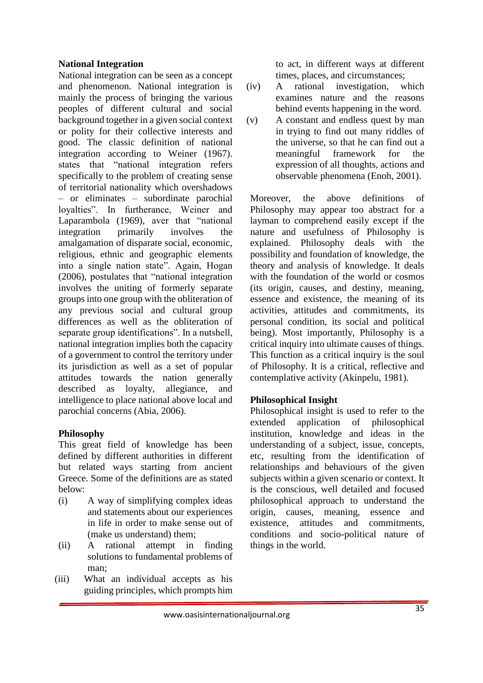### **National Integration**

National integration can be seen as a concept and phenomenon. National integration is mainly the process of bringing the various peoples of different cultural and social background together in a given social context or polity for their collective interests and good. The classic definition of national integration according to Weiner (1967). states that "national integration refers specifically to the problem of creating sense of territorial nationality which overshadows – or eliminates – subordinate parochial loyalties". In furtherance, Weiner and Laparambola (1969), aver that "national integration primarily involves the amalgamation of disparate social, economic, religious, ethnic and geographic elements into a single nation state". Again, Hogan (2006), postulates that "national integration involves the uniting of formerly separate groups into one group with the obliteration of any previous social and cultural group differences as well as the obliteration of separate group identifications". In a nutshell, national integration implies both the capacity of a government to control the territory under its jurisdiction as well as a set of popular attitudes towards the nation generally described as loyalty, allegiance, and intelligence to place national above local and parochial concerns (Abia, 2006).

## **Philosophy**

This great field of knowledge has been defined by different authorities in different but related ways starting from ancient Greece. Some of the definitions are as stated below:

- (i) A way of simplifying complex ideas and statements about our experiences in life in order to make sense out of (make us understand) them;
- (ii) A rational attempt in finding solutions to fundamental problems of man;
- (iii) What an individual accepts as his guiding principles, which prompts him

to act, in different ways at different times, places, and circumstances;

- (iv) A rational investigation, which examines nature and the reasons behind events happening in the word.
- (v) A constant and endless quest by man in trying to find out many riddles of the universe, so that he can find out a meaningful framework for the expression of all thoughts, actions and observable phenomena (Enoh, 2001).

Moreover, the above definitions of Philosophy may appear too abstract for a layman to comprehend easily except if the nature and usefulness of Philosophy is explained. Philosophy deals with the possibility and foundation of knowledge, the theory and analysis of knowledge. It deals with the foundation of the world or cosmos (its origin, causes, and destiny, meaning, essence and existence, the meaning of its activities, attitudes and commitments, its personal condition, its social and political being). Most importantly, Philosophy is a critical inquiry into ultimate causes of things. This function as a critical inquiry is the soul of Philosophy. It is a critical, reflective and contemplative activity (Akinpelu, 1981).

# **Philosophical Insight**

Philosophical insight is used to refer to the extended application of philosophical institution, knowledge and ideas in the understanding of a subject, issue, concepts, etc, resulting from the identification of relationships and behaviours of the given subjects within a given scenario or context. It is the conscious, well detailed and focused philosophical approach to understand the origin, causes, meaning, essence and existence, attitudes and commitments, conditions and socio-political nature of things in the world.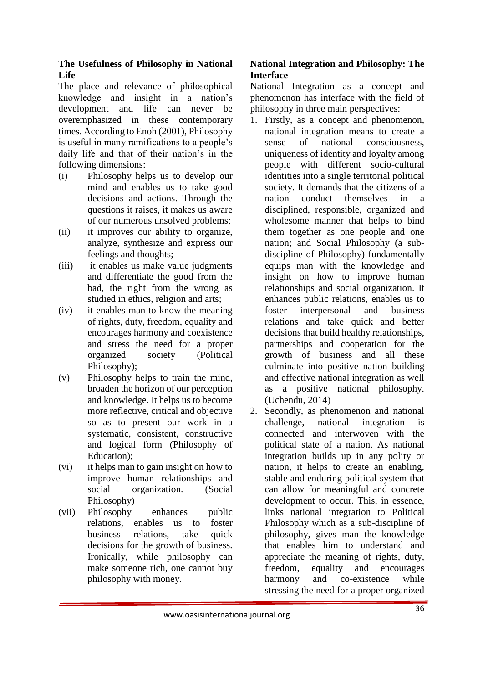### **The Usefulness of Philosophy in National Life**

The place and relevance of philosophical knowledge and insight in a nation's development and life can never be overemphasized in these contemporary times. According to Enoh (2001), Philosophy is useful in many ramifications to a people's daily life and that of their nation's in the following dimensions:

- (i) Philosophy helps us to develop our mind and enables us to take good decisions and actions. Through the questions it raises, it makes us aware of our numerous unsolved problems;
- (ii) it improves our ability to organize, analyze, synthesize and express our feelings and thoughts;
- (iii) it enables us make value judgments and differentiate the good from the bad, the right from the wrong as studied in ethics, religion and arts;
- (iv) it enables man to know the meaning of rights, duty, freedom, equality and encourages harmony and coexistence and stress the need for a proper organized society (Political Philosophy);
- (v) Philosophy helps to train the mind, broaden the horizon of our perception and knowledge. It helps us to become more reflective, critical and objective so as to present our work in a systematic, consistent, constructive and logical form (Philosophy of Education);
- (vi) it helps man to gain insight on how to improve human relationships and social organization. (Social Philosophy)
- (vii) Philosophy enhances public relations, enables us to foster business relations, take quick decisions for the growth of business. Ironically, while philosophy can make someone rich, one cannot buy philosophy with money.

# **National Integration and Philosophy: The Interface**

National Integration as a concept and phenomenon has interface with the field of philosophy in three main perspectives:

- 1. Firstly, as a concept and phenomenon, national integration means to create a sense of national consciousness, uniqueness of identity and loyalty among people with different socio-cultural identities into a single territorial political society. It demands that the citizens of a nation conduct themselves in disciplined, responsible, organized and wholesome manner that helps to bind them together as one people and one nation; and Social Philosophy (a subdiscipline of Philosophy) fundamentally equips man with the knowledge and insight on how to improve human relationships and social organization. It enhances public relations, enables us to foster interpersonal and business relations and take quick and better decisions that build healthy relationships, partnerships and cooperation for the growth of business and all these culminate into positive nation building and effective national integration as well as a positive national philosophy. (Uchendu, 2014)
- 2. Secondly, as phenomenon and national challenge, national integration is connected and interwoven with the political state of a nation. As national integration builds up in any polity or nation, it helps to create an enabling, stable and enduring political system that can allow for meaningful and concrete development to occur. This, in essence, links national integration to Political Philosophy which as a sub-discipline of philosophy, gives man the knowledge that enables him to understand and appreciate the meaning of rights, duty, freedom, equality and encourages harmony and co-existence while stressing the need for a proper organized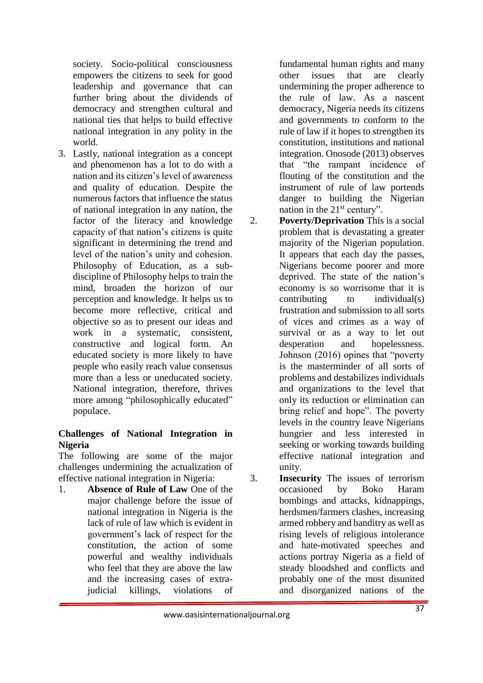society. Socio-political consciousness empowers the citizens to seek for good leadership and governance that can further bring about the dividends of democracy and strengthen cultural and national ties that helps to build effective national integration in any polity in the world.

3. Lastly, national integration as a concept and phenomenon has a lot to do with a nation and its citizen's level of awareness and quality of education. Despite the numerous factors that influence the status of national integration in any nation, the factor of the literacy and knowledge capacity of that nation's citizens is quite significant in determining the trend and level of the nation's unity and cohesion. Philosophy of Education, as a subdiscipline of Philosophy helps to train the mind, broaden the horizon of our perception and knowledge. It helps us to become more reflective, critical and objective so as to present our ideas and work in a systematic, consistent, constructive and logical form. An educated society is more likely to have people who easily reach value consensus more than a less or uneducated society. National integration, therefore, thrives more among "philosophically educated" populace.

## **Challenges of National Integration in Nigeria**

The following are some of the major challenges undermining the actualization of effective national integration in Nigeria:

1. **Absence of Rule of Law** One of the major challenge before the issue of national integration in Nigeria is the lack of rule of law which is evident in government's lack of respect for the constitution, the action of some powerful and wealthy individuals who feel that they are above the law and the increasing cases of extrajudicial killings, violations of

fundamental human rights and many other issues that are clearly undermining the proper adherence to the rule of law. As a nascent democracy, Nigeria needs its citizens and governments to conform to the rule of law if it hopes to strengthen its constitution, institutions and national integration. Onosode (2013) observes that "the rampant incidence of flouting of the constitution and the instrument of rule of law portends danger to building the Nigerian nation in the  $21<sup>st</sup>$  century".

- 2. **Poverty/Deprivation** This is a social problem that is devastating a greater majority of the Nigerian population. It appears that each day the passes, Nigerians become poorer and more deprived. The state of the nation's economy is so worrisome that it is contributing to individual(s) frustration and submission to all sorts of vices and crimes as a way of survival or as a way to let out desperation and hopelessness. Johnson (2016) opines that "poverty is the masterminder of all sorts of problems and destabilizes individuals and organizations to the level that only its reduction or elimination can bring relief and hope". The poverty levels in the country leave Nigerians hungrier and less interested in seeking or working towards building effective national integration and unity.
- 3. **Insecurity** The issues of terrorism occasioned by Boko Haram bombings and attacks, kidnappings, herdsmen/farmers clashes, increasing armed robbery and banditry as well as rising levels of religious intolerance and hate-motivated speeches and actions portray Nigeria as a field of steady bloodshed and conflicts and probably one of the most disunited and disorganized nations of the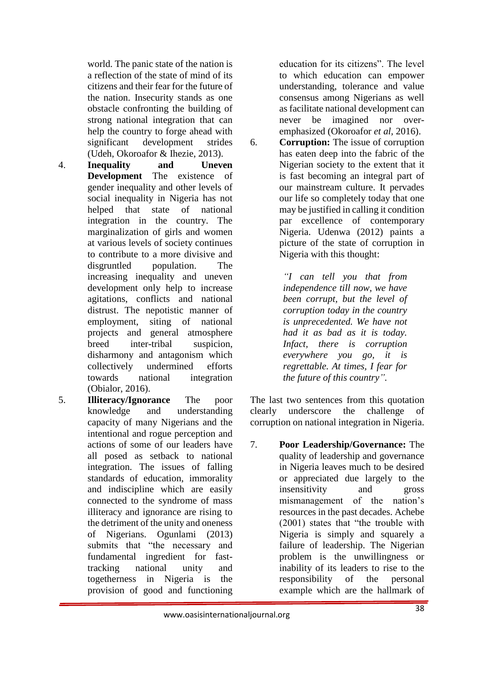world. The panic state of the nation is a reflection of the state of mind of its citizens and their fear for the future of the nation. Insecurity stands as one obstacle confronting the building of strong national integration that can help the country to forge ahead with significant development strides (Udeh, Okoroafor & Ihezie, 2013).

- 4. **Inequality and Uneven Development** The existence of gender inequality and other levels of social inequality in Nigeria has not helped that state of national integration in the country. The marginalization of girls and women at various levels of society continues to contribute to a more divisive and disgruntled population. The increasing inequality and uneven development only help to increase agitations, conflicts and national distrust. The nepotistic manner of employment, siting of national projects and general atmosphere breed inter-tribal suspicion, disharmony and antagonism which collectively undermined efforts towards national integration (Obialor, 2016).
- 5. **Illiteracy/Ignorance** The poor knowledge and understanding capacity of many Nigerians and the intentional and rogue perception and actions of some of our leaders have all posed as setback to national integration. The issues of falling standards of education, immorality and indiscipline which are easily connected to the syndrome of mass illiteracy and ignorance are rising to the detriment of the unity and oneness of Nigerians. Ogunlami (2013) submits that "the necessary and fundamental ingredient for fasttracking national unity and togetherness in Nigeria is the provision of good and functioning

education for its citizens". The level to which education can empower understanding, tolerance and value consensus among Nigerians as well as facilitate national development can never be imagined nor overemphasized (Okoroafor *et al,* 2016).

6. **Corruption:** The issue of corruption has eaten deep into the fabric of the Nigerian society to the extent that it is fast becoming an integral part of our mainstream culture. It pervades our life so completely today that one may be justified in calling it condition par excellence of contemporary Nigeria. Udenwa (2012) paints a picture of the state of corruption in Nigeria with this thought:

> *"I can tell you that from independence till now, we have been corrupt, but the level of corruption today in the country is unprecedented. We have not had it as bad as it is today. Infact, there is corruption everywhere you go, it is regrettable. At times, I fear for the future of this country".*

The last two sentences from this quotation clearly underscore the challenge of corruption on national integration in Nigeria.

7. **Poor Leadership/Governance:** The quality of leadership and governance in Nigeria leaves much to be desired or appreciated due largely to the insensitivity and gross mismanagement of the nation's resources in the past decades. Achebe (2001) states that "the trouble with Nigeria is simply and squarely a failure of leadership. The Nigerian problem is the unwillingness or inability of its leaders to rise to the responsibility of the personal example which are the hallmark of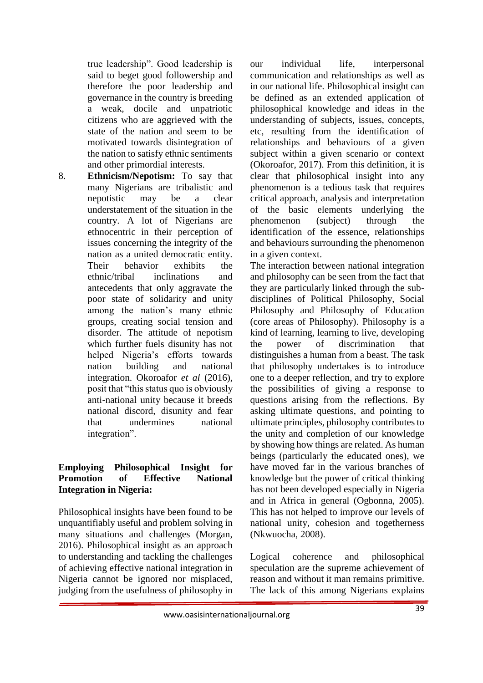true leadership". Good leadership is said to beget good followership and therefore the poor leadership and governance in the country is breeding a weak, docile and unpatriotic citizens who are aggrieved with the state of the nation and seem to be motivated towards disintegration of the nation to satisfy ethnic sentiments and other primordial interests.

8. **Ethnicism/Nepotism:** To say that many Nigerians are tribalistic and nepotistic may be a clear understatement of the situation in the country. A lot of Nigerians are ethnocentric in their perception of issues concerning the integrity of the nation as a united democratic entity. Their behavior exhibits the ethnic/tribal inclinations and antecedents that only aggravate the poor state of solidarity and unity among the nation's many ethnic groups, creating social tension and disorder. The attitude of nepotism which further fuels disunity has not helped Nigeria's efforts towards nation building and national integration. Okoroafor *et al* (2016), posit that "this status quo is obviously anti-national unity because it breeds national discord, disunity and fear that undermines national integration".

### **Employing Philosophical Insight for Promotion of Effective National Integration in Nigeria:**

Philosophical insights have been found to be unquantifiably useful and problem solving in many situations and challenges (Morgan, 2016). Philosophical insight as an approach to understanding and tackling the challenges of achieving effective national integration in Nigeria cannot be ignored nor misplaced, judging from the usefulness of philosophy in our individual life, interpersonal communication and relationships as well as in our national life. Philosophical insight can be defined as an extended application of philosophical knowledge and ideas in the understanding of subjects, issues, concepts, etc, resulting from the identification of relationships and behaviours of a given subject within a given scenario or context (Okoroafor, 2017). From this definition, it is clear that philosophical insight into any phenomenon is a tedious task that requires critical approach, analysis and interpretation of the basic elements underlying the phenomenon (subject) through the identification of the essence, relationships and behaviours surrounding the phenomenon in a given context.

The interaction between national integration and philosophy can be seen from the fact that they are particularly linked through the subdisciplines of Political Philosophy, Social Philosophy and Philosophy of Education (core areas of Philosophy). Philosophy is a kind of learning, learning to live, developing the power of discrimination that distinguishes a human from a beast. The task that philosophy undertakes is to introduce one to a deeper reflection, and try to explore the possibilities of giving a response to questions arising from the reflections. By asking ultimate questions, and pointing to ultimate principles, philosophy contributes to the unity and completion of our knowledge by showing how things are related. As human beings (particularly the educated ones), we have moved far in the various branches of knowledge but the power of critical thinking has not been developed especially in Nigeria and in Africa in general (Ogbonna, 2005). This has not helped to improve our levels of national unity, cohesion and togetherness (Nkwuocha, 2008).

Logical coherence and philosophical speculation are the supreme achievement of reason and without it man remains primitive. The lack of this among Nigerians explains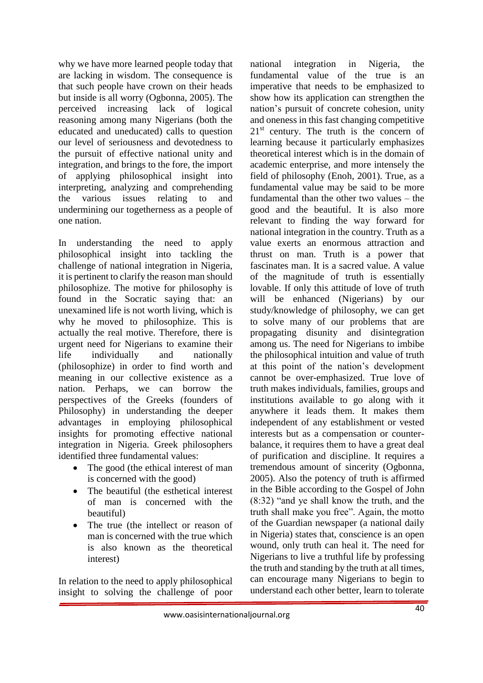why we have more learned people today that are lacking in wisdom. The consequence is that such people have crown on their heads but inside is all worry (Ogbonna, 2005). The perceived increasing lack of logical reasoning among many Nigerians (both the educated and uneducated) calls to question our level of seriousness and devotedness to the pursuit of effective national unity and integration, and brings to the fore, the import of applying philosophical insight into interpreting, analyzing and comprehending the various issues relating to and undermining our togetherness as a people of one nation.

In understanding the need to apply philosophical insight into tackling the challenge of national integration in Nigeria, it is pertinent to clarify the reason man should philosophize. The motive for philosophy is found in the Socratic saying that: an unexamined life is not worth living, which is why he moved to philosophize. This is actually the real motive. Therefore, there is urgent need for Nigerians to examine their life individually and nationally (philosophize) in order to find worth and meaning in our collective existence as a nation. Perhaps, we can borrow the perspectives of the Greeks (founders of Philosophy) in understanding the deeper advantages in employing philosophical insights for promoting effective national integration in Nigeria. Greek philosophers identified three fundamental values:

- The good (the ethical interest of man is concerned with the good)
- The beautiful (the esthetical interest of man is concerned with the beautiful)
- The true (the intellect or reason of man is concerned with the true which is also known as the theoretical interest)

In relation to the need to apply philosophical insight to solving the challenge of poor national integration in Nigeria, the fundamental value of the true is an imperative that needs to be emphasized to show how its application can strengthen the nation's pursuit of concrete cohesion, unity and oneness in this fast changing competitive  $21<sup>st</sup>$  century. The truth is the concern of learning because it particularly emphasizes theoretical interest which is in the domain of academic enterprise, and more intensely the field of philosophy (Enoh, 2001). True, as a fundamental value may be said to be more fundamental than the other two values – the good and the beautiful. It is also more relevant to finding the way forward for national integration in the country. Truth as a value exerts an enormous attraction and thrust on man. Truth is a power that fascinates man. It is a sacred value. A value of the magnitude of truth is essentially lovable. If only this attitude of love of truth will be enhanced (Nigerians) by our study/knowledge of philosophy, we can get to solve many of our problems that are propagating disunity and disintegration among us. The need for Nigerians to imbibe the philosophical intuition and value of truth at this point of the nation's development cannot be over-emphasized. True love of truth makes individuals, families, groups and institutions available to go along with it anywhere it leads them. It makes them independent of any establishment or vested interests but as a compensation or counterbalance, it requires them to have a great deal of purification and discipline. It requires a tremendous amount of sincerity (Ogbonna, 2005). Also the potency of truth is affirmed in the Bible according to the Gospel of John (8:32) "and ye shall know the truth, and the truth shall make you free". Again, the motto of the Guardian newspaper (a national daily in Nigeria) states that, conscience is an open wound, only truth can heal it. The need for Nigerians to live a truthful life by professing the truth and standing by the truth at all times, can encourage many Nigerians to begin to understand each other better, learn to tolerate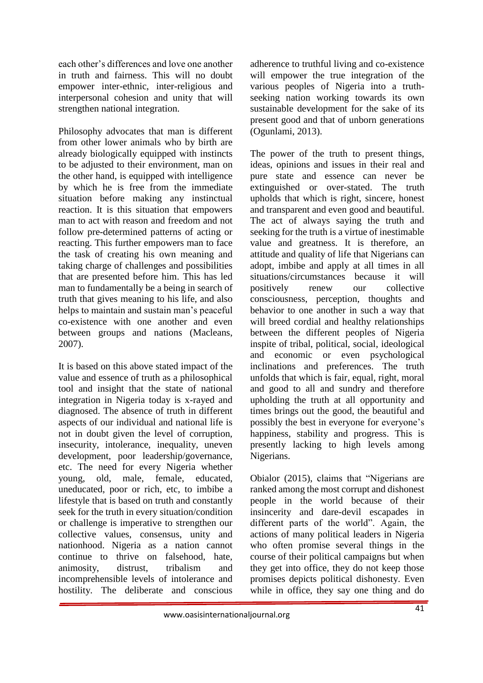each other's differences and love one another in truth and fairness. This will no doubt empower inter-ethnic, inter-religious and interpersonal cohesion and unity that will strengthen national integration.

Philosophy advocates that man is different from other lower animals who by birth are already biologically equipped with instincts to be adjusted to their environment, man on the other hand, is equipped with intelligence by which he is free from the immediate situation before making any instinctual reaction. It is this situation that empowers man to act with reason and freedom and not follow pre-determined patterns of acting or reacting. This further empowers man to face the task of creating his own meaning and taking charge of challenges and possibilities that are presented before him. This has led man to fundamentally be a being in search of truth that gives meaning to his life, and also helps to maintain and sustain man's peaceful co-existence with one another and even between groups and nations (Macleans, 2007).

It is based on this above stated impact of the value and essence of truth as a philosophical tool and insight that the state of national integration in Nigeria today is x-rayed and diagnosed. The absence of truth in different aspects of our individual and national life is not in doubt given the level of corruption, insecurity, intolerance, inequality, uneven development, poor leadership/governance, etc. The need for every Nigeria whether young, old, male, female, educated, uneducated, poor or rich, etc, to imbibe a lifestyle that is based on truth and constantly seek for the truth in every situation/condition or challenge is imperative to strengthen our collective values, consensus, unity and nationhood. Nigeria as a nation cannot continue to thrive on falsehood, hate, animosity, distrust, tribalism and incomprehensible levels of intolerance and hostility. The deliberate and conscious

adherence to truthful living and co-existence will empower the true integration of the various peoples of Nigeria into a truthseeking nation working towards its own sustainable development for the sake of its present good and that of unborn generations (Ogunlami, 2013).

The power of the truth to present things, ideas, opinions and issues in their real and pure state and essence can never be extinguished or over-stated. The truth upholds that which is right, sincere, honest and transparent and even good and beautiful. The act of always saying the truth and seeking for the truth is a virtue of inestimable value and greatness. It is therefore, an attitude and quality of life that Nigerians can adopt, imbibe and apply at all times in all situations/circumstances because it will positively renew our collective consciousness, perception, thoughts and behavior to one another in such a way that will breed cordial and healthy relationships between the different peoples of Nigeria inspite of tribal, political, social, ideological and economic or even psychological inclinations and preferences. The truth unfolds that which is fair, equal, right, moral and good to all and sundry and therefore upholding the truth at all opportunity and times brings out the good, the beautiful and possibly the best in everyone for everyone's happiness, stability and progress. This is presently lacking to high levels among Nigerians.

Obialor (2015), claims that "Nigerians are ranked among the most corrupt and dishonest people in the world because of their insincerity and dare-devil escapades in different parts of the world". Again, the actions of many political leaders in Nigeria who often promise several things in the course of their political campaigns but when they get into office, they do not keep those promises depicts political dishonesty. Even while in office, they say one thing and do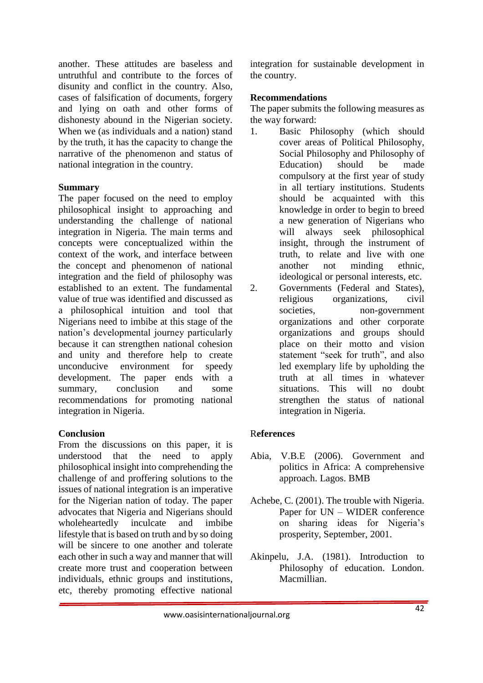another. These attitudes are baseless and untruthful and contribute to the forces of disunity and conflict in the country. Also, cases of falsification of documents, forgery and lying on oath and other forms of dishonesty abound in the Nigerian society. When we (as individuals and a nation) stand by the truth, it has the capacity to change the narrative of the phenomenon and status of national integration in the country.

### **Summary**

The paper focused on the need to employ philosophical insight to approaching and understanding the challenge of national integration in Nigeria. The main terms and concepts were conceptualized within the context of the work, and interface between the concept and phenomenon of national integration and the field of philosophy was established to an extent. The fundamental value of true was identified and discussed as a philosophical intuition and tool that Nigerians need to imbibe at this stage of the nation's developmental journey particularly because it can strengthen national cohesion and unity and therefore help to create unconducive environment for speedy development. The paper ends with a summary, conclusion and some recommendations for promoting national integration in Nigeria.

### **Conclusion**

From the discussions on this paper, it is understood that the need to apply philosophical insight into comprehending the challenge of and proffering solutions to the issues of national integration is an imperative for the Nigerian nation of today. The paper advocates that Nigeria and Nigerians should wholeheartedly inculcate and imbibe lifestyle that is based on truth and by so doing will be sincere to one another and tolerate each other in such a way and manner that will create more trust and cooperation between individuals, ethnic groups and institutions, etc, thereby promoting effective national

integration for sustainable development in the country.

### **Recommendations**

The paper submits the following measures as the way forward:

- 1. Basic Philosophy (which should cover areas of Political Philosophy, Social Philosophy and Philosophy of Education) should be made compulsory at the first year of study in all tertiary institutions. Students should be acquainted with this knowledge in order to begin to breed a new generation of Nigerians who will always seek philosophical insight, through the instrument of truth, to relate and live with one another not minding ethnic, ideological or personal interests, etc.
- 2. Governments (Federal and States), religious organizations, civil societies, non-government organizations and other corporate organizations and groups should place on their motto and vision statement "seek for truth", and also led exemplary life by upholding the truth at all times in whatever situations. This will no doubt strengthen the status of national integration in Nigeria.

## R**eferences**

- Abia, V.B.E (2006). Government and politics in Africa: A comprehensive approach. Lagos. BMB
- Achebe, C. (2001). The trouble with Nigeria. Paper for UN – WIDER conference on sharing ideas for Nigeria's prosperity, September, 2001.
- Akinpelu, J.A. (1981). Introduction to Philosophy of education. London. Macmillian.